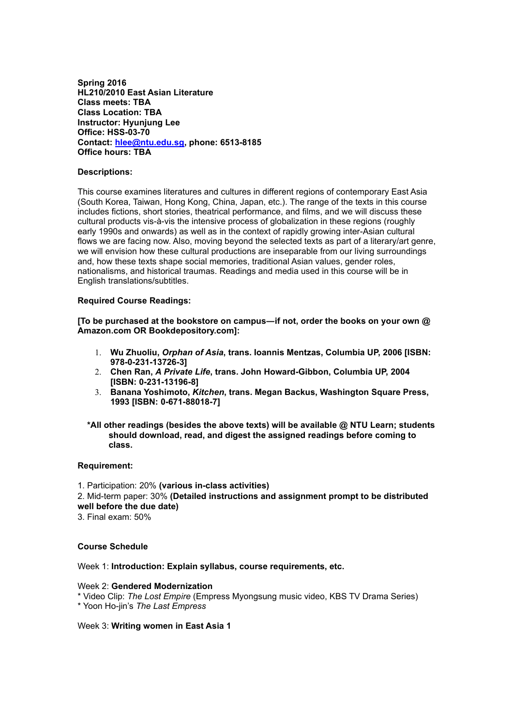**Spring 2016 HL210/2010 East Asian Literature Class meets: TBA Class Location: TBA Instructor: Hyunjung Lee Office: HSS-03-70 Contact: [hlee@ntu.edu.sg,](mailto:hlee@ntu.edu.sg) phone: 6513-8185 Office hours: TBA**

### **Descriptions:**

This course examines literatures and cultures in different regions of contemporary East Asia (South Korea, Taiwan, Hong Kong, China, Japan, etc.). The range of the texts in this course includes fictions, short stories, theatrical performance, and films, and we will discuss these cultural products vis-à-vis the intensive process of globalization in these regions (roughly early 1990s and onwards) as well as in the context of rapidly growing inter-Asian cultural flows we are facing now. Also, moving beyond the selected texts as part of a literary/art genre, we will envision how these cultural productions are inseparable from our living surroundings and, how these texts shape social memories, traditional Asian values, gender roles, nationalisms, and historical traumas. Readings and media used in this course will be in English translations/subtitles.

## **Required Course Readings:**

**[To be purchased at the bookstore on campus―if not, order the books on your own @ Amazon.com OR Bookdepository.com]:**

- 1. **Wu Zhuoliu,** *Orphan of Asia***, trans. Ioannis Mentzas, Columbia UP, 2006 [ISBN: 978-0-231-13726-3]**
- 2. **Chen Ran,** *A Private Life***, trans. John Howard-Gibbon, Columbia UP, 2004 [ISBN: 0-231-13196-8]**
- 3. **Banana Yoshimoto,** *Kitchen***, trans. Megan Backus, Washington Square Press, 1993 [ISBN: 0-671-88018-7]**
- **\*All other readings (besides the above texts) will be available @ NTU Learn; students should download, read, and digest the assigned readings before coming to class.**

### **Requirement:**

## 1. Participation: 20% **(various in-class activities)** 2. Mid-term paper: 30% **(Detailed instructions and assignment prompt to be distributed well before the due date)**

3. Final exam: 50%

## **Course Schedule**

Week 1: **Introduction: Explain syllabus, course requirements, etc.**

### Week 2: **Gendered Modernization**

\* Video Clip: *The Lost Empire* (Empress Myongsung music video, KBS TV Drama Series)

\* Yoon Ho-jin's *The Last Empress*

Week 3: **Writing women in East Asia 1**